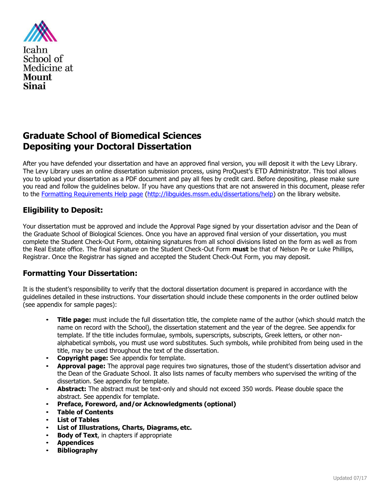

# **Graduate School of Biomedical Sciences Depositing your Doctoral Dissertation**

After you have defended your dissertation and have an approved final version, you will deposit it with the Levy Library. The Levy Library uses an online dissertation submission process, using ProQuest's ETD Administrator. This tool allows you to upload your dissertation as a PDF document and pay all fees by credit card. Before depositing, please make sure you read and follow the guidelines below. If you have any questions that are not answered in this document, please refer to the Formatting Requirements Help page [\(http://libguides.mssm.edu/dissertations/help\) o](http://libguides.mssm.edu/dissertations/help))n the library website.

# **Eligibility to Deposit:**

Your dissertation must be approved and include the Approval Page signed by your dissertation advisor and the Dean of the Graduate School of Biological Sciences. Once you have an approved final version of your dissertation, you must complete the Student Check-Out Form, obtaining signatures from all school divisions listed on the form as well as from the Real Estate office. The final signature on the Student Check-Out Form **must** be that of Nelson Pe or Luke Phillips, Registrar. Once the Registrar has signed and accepted the Student Check-Out Form, you may deposit.

# **Formatting Your Dissertation:**

It is the student's responsibility to verify that the doctoral dissertation document is prepared in accordance with the guidelines detailed in these instructions. Your dissertation should include these components in the order outlined below (see appendix for sample pages):

- **Title page:** must include the full dissertation title, the complete name of the author (which should match the name on record with the School), the dissertation statement and the year of the degree. See appendix for template. If the title includes formulae, symbols, superscripts, subscripts, Greek letters, or other nonalphabetical symbols, you must use word substitutes. Such symbols, while prohibited from being used in the title, may be used throughout the text of the dissertation.
- **Copyright page:** See appendix for template.
- **Approval page:** The approval page requires two signatures, those of the student's dissertation advisor and the Dean of the Graduate School. It also lists names of faculty members who supervised the writing of the dissertation. See appendix for template.
- **Abstract:** The abstract must be text-only and should not exceed 350 words. Please double space the abstract. See appendix for template.
- **Preface, Foreword, and/or Acknowledgments (optional)**
- **Table of Contents**
- **List of Tables**
- **List of Illustrations, Charts, Diagrams, etc.**
- **Body of Text**, in chapters if appropriate
- **Appendices**
- **Bibliography**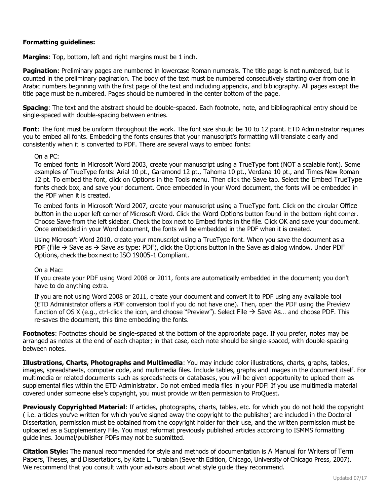#### **Formatting guidelines:**

**Margins**: Top, bottom, left and right margins must be 1 inch.

**Pagination**: Preliminary pages are numbered in lowercase Roman numerals. The title page is not numbered, but is counted in the preliminary pagination. The body of the text must be numbered consecutively starting over from one in Arabic numbers beginning with the first page of the text and including appendix, and bibliography. All pages except the title page must be numbered. Pages should be numbered in the center bottom of the page.

**Spacing**: The text and the abstract should be double-spaced. Each footnote, note, and bibliographical entry should be single-spaced with double-spacing between entries.

**Font**: The font must be uniform throughout the work. The font size should be 10 to 12 point. ETD Administrator requires you to embed all fonts. Embedding the fonts ensures that your manuscript's formatting will translate clearly and consistently when it is converted to PDF. There are several ways to embed fonts:

On a PC:

To embed fonts in Microsoft Word 2003, create your manuscript using a TrueType font (NOT a scalable font). Some examples of TrueType fonts: Arial 10 pt., Garamond 12 pt., Tahoma 10 pt., Verdana 10 pt., and Times New Roman 12 pt. To embed the font, click on Options in the Tools menu. Then click the Save tab. Select the Embed TrueType fonts check box, and save your document. Once embedded in your Word document, the fonts will be embedded in the PDF when it is created.

To embed fonts in Microsoft Word 2007, create your manuscript using a TrueType font. Click on the circular Office button in the upper left corner of Microsoft Word. Click the Word Options button found in the bottom right corner. Choose Save from the left sidebar. Check the box next to Embed fonts in the file. Click OK and save your document. Once embedded in your Word document, the fonts will be embedded in the PDF when it is created.

Using Microsoft Word 2010, create your manuscript using a TrueType font. When you save the document as a PDF (File  $\rightarrow$  Save as  $\rightarrow$  Save as type: PDF), click the Options button in the Save as dialog window. Under PDF Options, check the box next to ISO 19005-1 Compliant.

On a Mac:

If you create your PDF using Word 2008 or 2011, fonts are automatically embedded in the document; you don't have to do anything extra.

If you are not using Word 2008 or 2011, create your document and convert it to PDF using any available tool (ETD Administrator offers a PDF conversion tool if you do not have one). Then, open the PDF using the Preview function of OS X (e.g., ctrl-click the icon, and choose "Preview"). Select File  $\rightarrow$  Save As... and choose PDF. This re-saves the document, this time embedding the fonts.

**Footnotes**: Footnotes should be single-spaced at the bottom of the appropriate page. If you prefer, notes may be arranged as notes at the end of each chapter; in that case, each note should be single-spaced, with double-spacing between notes.

**Illustrations, Charts, Photographs and Multimedia**: You may include color illustrations, charts, graphs, tables, images, spreadsheets, computer code, and multimedia files. Include tables, graphs and images in the document itself. For multimedia or related documents such as spreadsheets or databases, you will be given opportunity to upload them as supplemental files within the ETD Administrator. Do not embed media files in your PDF! If you use multimedia material covered under someone else's copyright, you must provide written permission to ProQuest.

**Previously Copyrighted Material**: If articles, photographs, charts, tables, etc. for which you do not hold the copyright ( i.e. articles you've written for which you've signed away the copyright to the publisher) are included in the Doctoral Dissertation, permission must be obtained from the copyright holder for their use, and the written permission must be uploaded as a Supplementary File. You must reformat previously published articles according to ISMMS formatting guidelines. Journal/publisher PDFs may not be submitted.

**Citation Style:** The manual recommended for style and methods of documentation is A Manual for Writers of Term Papers, Theses, and Dissertations, by Kate L. Turabian (Seventh Edition, Chicago, University of Chicago Press, 2007). We recommend that you consult with your advisors about what style guide they recommend.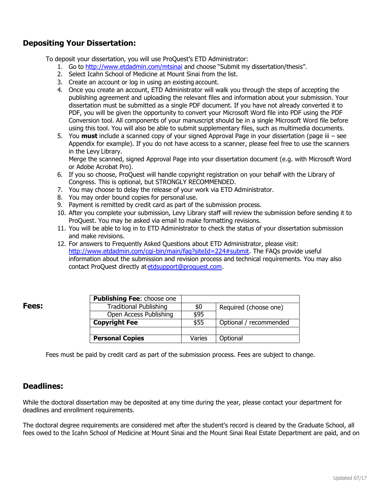# **Depositing Your Dissertation:**

To deposit your dissertation, you will use ProQuest's ETD Administrator:

- 1. Go to <http://www.etdadmin.com/mtsinai> and choose "Submit my dissertation/thesis".
- 2. Select Icahn School of Medicine at Mount Sinai from the list.
- 3. Create an account or log in using an existing account.
- 4. Once you create an account, ETD Administrator will walk you through the steps of accepting the publishing agreement and uploading the relevant files and information about your submission. Your dissertation must be submitted as a single PDF document. If you have not already converted it to PDF, you will be given the opportunity to convert your Microsoft Word file into PDF using the PDF Conversion tool. All components of your manuscript should be in a single Microsoft Word file before using this tool. You will also be able to submit supplementary files, such as multimedia documents.
- 5. You **must** include a scanned copy of your signed Approval Page in your dissertation (page iii see Appendix for example). If you do not have access to a scanner, please feel free to use the scanners in the Levy Library.

Merge the scanned, signed Approval Page into your dissertation document (e.g. with Microsoft Word or Adobe Acrobat Pro).

- 6. If you so choose, ProQuest will handle copyright registration on your behalf with the Library of Congress. This is optional, but STRONGLY RECOMMENDED.
- 7. You may choose to delay the release of your work via ETD Administrator.
- 8. You may order bound copies for personal use.
- 9. Payment is remitted by credit card as part of the submission process.
- 10. After you complete your submission, Levy Library staff will review the submission before sending it to ProQuest. You may be asked via email to make formatting revisions.
- 11. You will be able to log in to ETD Administrator to check the status of your dissertation submission and make revisions.
- 12. For answers to Frequently Asked Questions about ETD Administrator, please visit: [http://www.etdadmin.com/cgi-bin/main/faq?siteId=224#submit. T](http://www.etdadmin.com/cgi-bin/main/faq?siteId=224&submit)he FAQs provide useful information about the submission and revision process and technical requirements. You may also contact ProQuest directly a[tetdsupport@proquest.com.](mailto:etdsupport@proquest.com)

| ×<br>I<br>. .<br>. .<br>۰.<br>. .<br>×. |
|-----------------------------------------|
|-----------------------------------------|

| <b>Publishing Fee: choose one</b> |        |                        |
|-----------------------------------|--------|------------------------|
| <b>Traditional Publishing</b>     | \$0    | Required (choose one)  |
| Open Access Publishing            | \$95   |                        |
| <b>Copyright Fee</b>              | \$55   | Optional / recommended |
|                                   |        |                        |
| <b>Personal Copies</b>            | Varies | Optional               |

Fees must be paid by credit card as part of the submission process. Fees are subject to change.

### **Deadlines:**

While the doctoral dissertation may be deposited at any time during the year, please contact your department for deadlines and enrollment requirements.

The doctoral degree requirements are considered met after the student's record is cleared by the Graduate School, all fees owed to the Icahn School of Medicine at Mount Sinai and the Mount Sinai Real Estate Department are paid, and on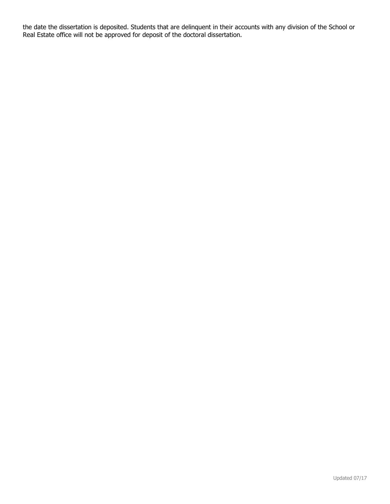the date the dissertation is deposited. Students that are delinquent in their accounts with any division of the School or Real Estate office will not be approved for deposit of the doctoral dissertation.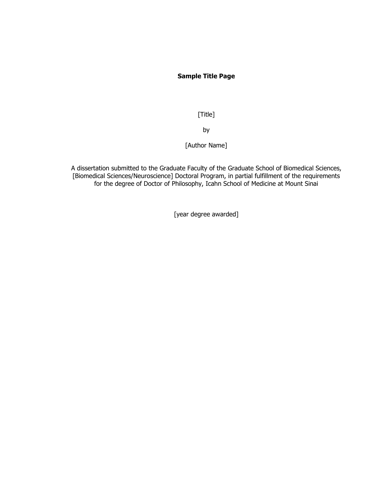#### **Sample Title Page**

[Title]

by

[Author Name]

A dissertation submitted to the Graduate Faculty of the Graduate School of Biomedical Sciences, [Biomedical Sciences/Neuroscience] Doctoral Program, in partial fulfillment of the requirements for the degree of Doctor of Philosophy, Icahn School of Medicine at Mount Sinai

[year degree awarded]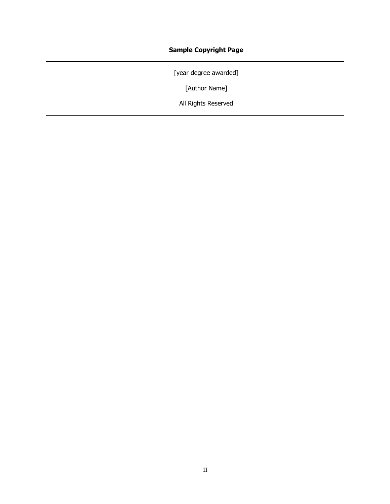## **Sample Copyright Page**

[year degree awarded]

[Author Name]

All Rights Reserved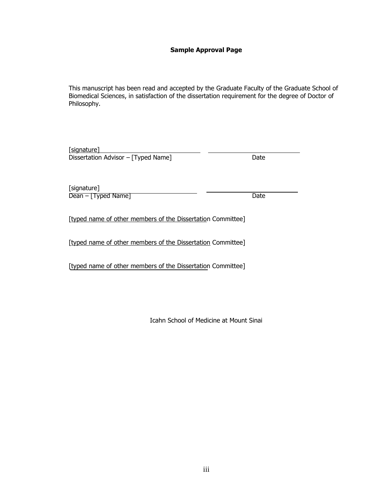#### **Sample Approval Page**

This manuscript has been read and accepted by the Graduate Faculty of the Graduate School of Biomedical Sciences, in satisfaction of the dissertation requirement for the degree of Doctor of Philosophy.

| [signature]                         |      |
|-------------------------------------|------|
| Dissertation Advisor - [Typed Name] | Date |
|                                     |      |

[signature] Dean – [Typed Name] Date

[typed name of other members of the Dissertation Committee]

[typed name of other members of the Dissertation Committee]

[typed name of other members of the Dissertation Committee]

Icahn School of Medicine at Mount Sinai